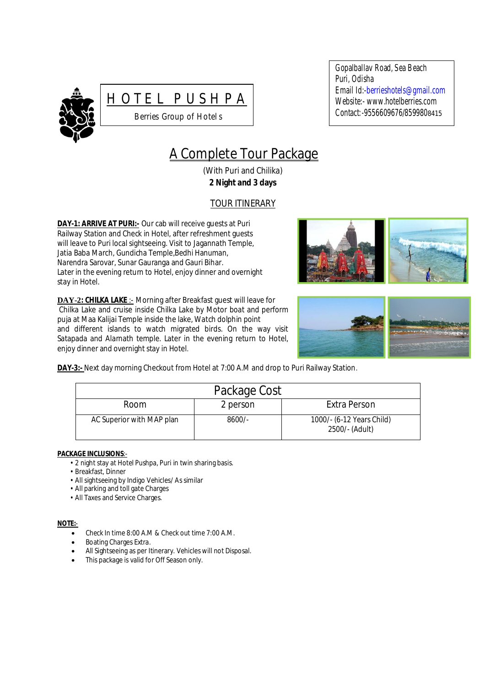



Gopalballav Road, Sea Beach Puri, Odisha Email Id:-berrieshotels@gmail.com Website:- www.hotelberries.com Contact*:-*9556609676/8599808415

# A Complete Tour Package

(With Puri and Chilika) **2 Night and 3 days**

# TOUR ITINERARY

**DAY-1: ARRIVE AT PURI:-** Our cab will receive guests at Puri Railway Station and Check in Hotel, after refreshment guests will leave to Puri local sightseeing. Visit to Jagannath Temple, Jatia Baba March, Gundicha Temple,Bedhi Hanuman, Narendra Sarovar, Sunar Gauranga and Gauri Bihar. Later in the evening return to Hotel, enjoy dinner and overnight stay in Hotel*.*

**DAY-2: CHILKA LAKE** :- Morning after Breakfast guest will leave for Chilka Lake and cruise inside Chilka Lake by Motor boat and perform puja at Maa Kalijai Temple inside the lake, Watch dolphin point and different islands to watch migrated birds. On the way visit Satapada and Alarnath temple. Later in the evening return to Hotel, enjoy dinner and overnight stay in Hotel.





**DAY-3:-** Next day morning Checkout from Hotel at 7:00 A.M and drop to Puri Railway Station.

| Package Cost              |          |                                             |  |
|---------------------------|----------|---------------------------------------------|--|
| <b>Room</b>               | 2 person | Extra Person                                |  |
| AC Superior with MAP plan | $8600/-$ | 1000/- (6-12 Years Child)<br>2500/- (Adult) |  |

## **PACKAGE INCLUSIONS**:-

- 2 night stay at Hotel Pushpa, Puri in twin sharing basis.
- Breakfast, Dinner
- All sightseeing by Indigo Vehicles/ As similar
- All parking and toll gate Charges
- All Taxes and Service Charges.

## **NOTE:**-

- Check In time 8:00 A.M & Check out time 7:00 A.M.
- Boating Charges Extra.
- All Sightseeing as per Itinerary. Vehicles will not Disposal.
- This package is valid for Off Season only.